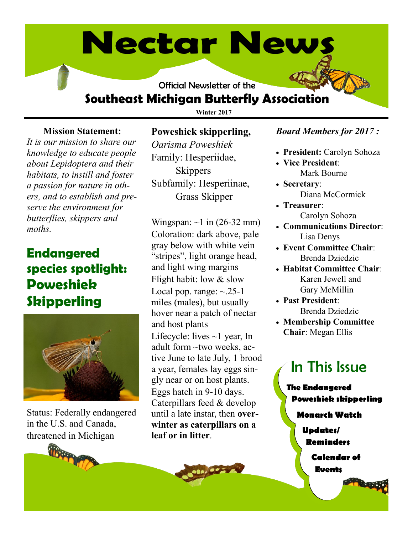# **Nectar News**

Official Newsletter of the

# **Southeast Michigan Butterfly Association**

**Winter 2017**

# **Mission Statement:**

*It is our mission to share our knowledge to educate people about Lepidoptera and their habitats, to instill and foster a passion for nature in others, and to establish and preserve the environment for butterflies, skippers and moths.* 

# **Endangered species spotlight: Poweshiek Skipperling**



Status: Federally endangered in the U.S. and Canada, threatened in Michigan

# **Poweshiek skipperling,**

*Oarisma Poweshiek* Family: Hesperiidae, **Skippers** Subfamily: Hesperiinae, Grass Skipper

Wingspan:  $\sim$ 1 in (26-32 mm) Coloration: dark above, pale gray below with white vein "stripes", light orange head, and light wing margins Flight habit: low & slow Local pop. range:  $\sim 25-1$ miles (males), but usually hover near a patch of nectar and host plants Lifecycle: lives  $\sim$ 1 year, In adult form ~two weeks, active June to late July, 1 brood a year, females lay eggs singly near or on host plants. Eggs hatch in 9-10 days. Caterpillars feed & develop until a late instar, then **overwinter as caterpillars on a leaf or in litter**.

# *Board Members for 2017 :*

- **President:** Carolyn Sohoza
- **Vice President**: Mark Bourne
- **Secretary**: Diana McCormick
- **Treasurer**: Carolyn Sohoza
- **Communications Director**: Lisa Denys
- **Event Committee Chair**: Brenda Dziedzic
- **Habitat Committee Chair**: Karen Jewell and Gary McMillin
- **Past President**: Brenda Dziedzic
- **Membership Committee Chair**: Megan Ellis

# In This Issue

**The Endangered Poweshiek skipperling**

# **Monarch Watch**

- **Updates/ Reminders**
	- **Calendar of Events**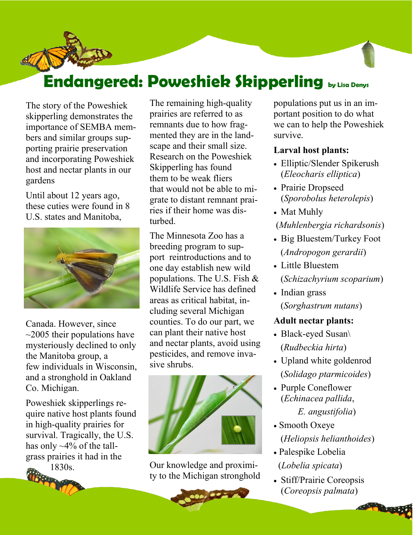# **Endangered: Poweshiek Skipperling by Lisa Denys**

The story of the Poweshiek skipperling demonstrates the importance of SEMBA members and similar groups supporting prairie preservation and incorporating Poweshiek host and nectar plants in our gardens

Until about 12 years ago, these cuties were found in 8 U.S. states and Manitoba,



Canada. However, since  $\sim$ 2005 their populations have mysteriously declined to only the Manitoba group, a few individuals in Wisconsin, and a stronghold in Oakland Co. Michigan.

Poweshiek skipperlings require native host plants found in high-quality prairies for survival. Tragically, the U.S. has only  $\sim$ 4% of the tallgrass prairies it had in the 1830s.



The remaining high-quality prairies are referred to as remnants due to how fragmented they are in the landscape and their small size. Research on the Poweshiek Skipperling has found them to be weak fliers that would not be able to migrate to distant remnant prairies if their home was disturbed.

The Minnesota Zoo has a breeding program to support reintroductions and to one day establish new wild populations. The U.S. Fish  $\&$ Wildlife Service has defined areas as critical habitat, including several Michigan counties. To do our part, we can plant their native host and nectar plants, avoid using pesticides, and remove invasive shrubs.



Our knowledge and proximity to the Michigan stronghold

 $10274$ 



# **Larval host plants:**

- Elliptic/Slender Spikerush (*Eleocharis elliptica*)
- Prairie Dropseed (*Sporobolus heterolepis*)
- Mat Muhly
- (*Muhlenbergia richardsonis*)
- Big Bluestem/Turkey Foot (*Andropogon gerardii*)
- Little Bluestem (*Schizachyrium scoparium*)
- Indian grass (*Sorghastrum nutans*)

# **Adult nectar plants:**

- Black-eyed Susan\ (*Rudbeckia hirta*)
- Upland white goldenrod (*Solidago ptarmicoides*)
- Purple Coneflower (*Echinacea pallida*,

*E. angustifolia*)

- Smooth Oxeye (*Heliopsis helianthoides*)
- Palespike Lobelia (*Lobelia spicata*)
- Stiff/Prairie Coreopsis (*Coreopsis palmata*)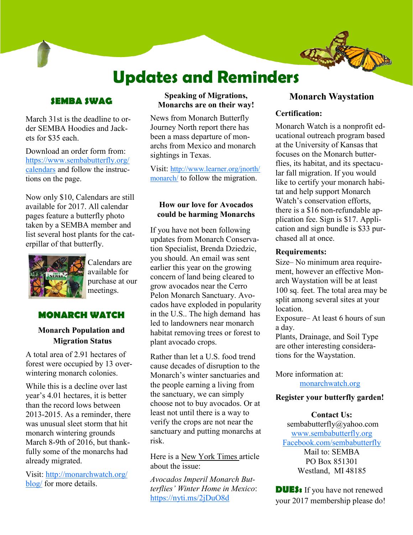# **Updates and Reminders**

# **SEMBA SWAG**

March 31st is the deadline to order SEMBA Hoodies and Jackets for \$35 each.

Download an order form from: [https://www.sembabutterfly.org/](https://www.sembabutterfly.org/calendars) [calendars](https://www.sembabutterfly.org/calendars) and follow the instructions on the page.

Now only \$10, Calendars are still available for 2017. All calendar pages feature a butterfly photo taken by a SEMBA member and list several host plants for the caterpillar of that butterfly.



Calendars are available for purchase at our meetings.

# **MONARCH WATCH**

# **Monarch Population and Migration Status**

A total area of 2.91 hectares of forest were occupied by 13 overwintering monarch colonies.

While this is a decline over last year's 4.01 hectares, it is better than the record lows between 2013-2015. As a reminder, there was unusual sleet storm that hit monarch wintering grounds March 8-9th of 2016, but thankfully some of the monarchs had already migrated.

Visit: [http://monarchwatch.org/](http://monarchwatch.org/blog/) [blog/](http://monarchwatch.org/blog/) for more details.

#### **Speaking of Migrations, Monarchs are on their way!**

News from Monarch Butterfly Journey North report there has been a mass departure of monarchs from Mexico and monarch sightings in Texas.

Visit: [http://www.learner.org/jnorth/](http://www.learner.org/jnorth/monarch/) [monarch/](http://www.learner.org/jnorth/monarch/) to follow the migration.

## **How our love for Avocados could be harming Monarchs**

If you have not been following updates from Monarch Conservation Specialist, Brenda Dziedzic, you should. An email was sent earlier this year on the growing concern of land being cleared to grow avocados near the Cerro Pelon Monarch Sanctuary. Avocados have exploded in popularity in the U.S.. The high demand has led to landowners near monarch habitat removing trees or forest to plant avocado crops.

Rather than let a U.S. food trend cause decades of disruption to the Monarch's winter sanctuaries and the people earning a living from the sanctuary, we can simply choose not to buy avocados. Or at least not until there is a way to verify the crops are not near the sanctuary and putting monarchs at risk.

Here is a New York Times article about the issue:

*Avocados Imperil Monarch Butterflies' Winter Home in Mexico*: <https://nyti.ms/2jDuO8d>

# **Monarch Waystation**

## **Certification:**

Monarch Watch is a nonprofit educational outreach program based at the University of Kansas that focuses on the Monarch butterflies, its habitat, and its spectacular fall migration. If you would like to certify your monarch habitat and help support Monarch Watch's conservation efforts, there is a \$16 non-refundable application fee. Sign is \$17. Application and sign bundle is \$33 purchased all at once.

### **Requirements:**

Size– No minimum area requirement, however an effective Monarch Waystation will be at least 100 sq. feet. The total area may be split among several sites at your **location** 

Exposure– At least 6 hours of sun a day.

Plants, Drainage, and Soil Type are other interesting considerations for the Waystation.

More information at: [monarchwatch.org](http://www.monarchwatch.org/)

## **Register your butterfly garden!**

## **Contact Us:**

sembabutterfly@yahoo.com [www.sembabutterfly.org](https://www.sembabutterfly.org/) [Facebook.com/sembabutterfly](https://www.facebook.com/sembabutterfly) Mail to: SEMBA PO Box 851301 Westland, MI 48185

**DUES:** If you have not renewed your 2017 membership please do!